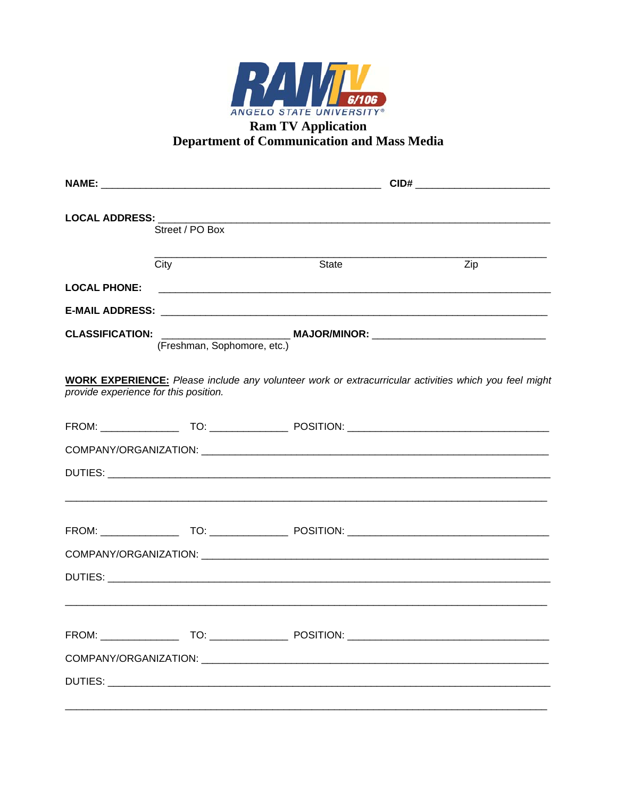

## **Ram TV Application<br>Department of Communication and Mass Media**

|                                       |                             |                                                                                                              | CID# __________________________ |  |
|---------------------------------------|-----------------------------|--------------------------------------------------------------------------------------------------------------|---------------------------------|--|
| LOCAL ADDRESS: ________               |                             |                                                                                                              |                                 |  |
|                                       | Street / PO Box             |                                                                                                              |                                 |  |
|                                       | City                        | State                                                                                                        | Zip                             |  |
|                                       |                             |                                                                                                              |                                 |  |
|                                       |                             |                                                                                                              |                                 |  |
|                                       | (Freshman, Sophomore, etc.) | CLASSIFICATION: ________________________________MAJOR/MINOR: ____________________                            |                                 |  |
| provide experience for this position. |                             | <b>WORK EXPERIENCE:</b> Please include any volunteer work or extracurricular activities which you feel might |                                 |  |
|                                       |                             |                                                                                                              |                                 |  |
|                                       |                             |                                                                                                              |                                 |  |
|                                       |                             |                                                                                                              |                                 |  |
|                                       |                             |                                                                                                              |                                 |  |
|                                       |                             |                                                                                                              |                                 |  |
|                                       |                             |                                                                                                              |                                 |  |
|                                       |                             |                                                                                                              |                                 |  |
|                                       |                             |                                                                                                              |                                 |  |
|                                       |                             |                                                                                                              |                                 |  |
|                                       |                             |                                                                                                              |                                 |  |
|                                       |                             |                                                                                                              |                                 |  |